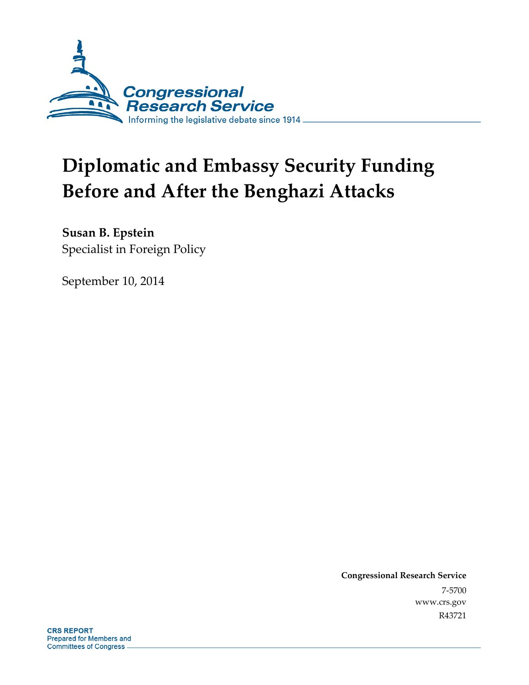

# **Diplomatic and Embassy Security Funding Before and After the Benghazi Attacks**

**Susan B. Epstein**  Specialist in Foreign Policy

September 10, 2014

**Congressional Research Service**  7-5700 www.crs.gov R43721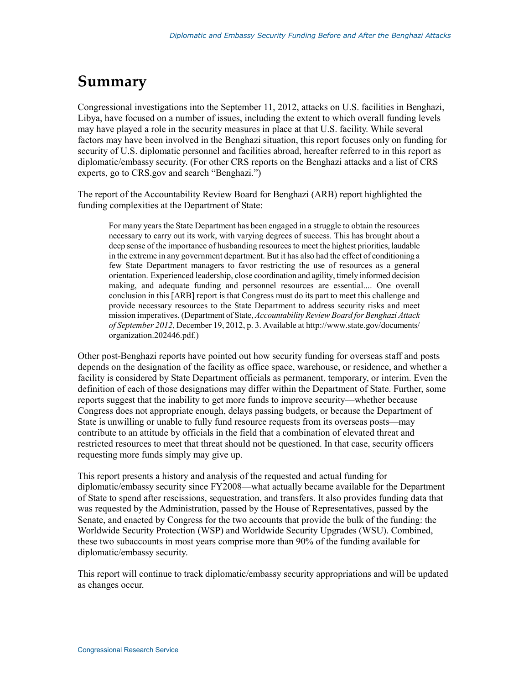### **Summary**

Congressional investigations into the September 11, 2012, attacks on U.S. facilities in Benghazi, Libya, have focused on a number of issues, including the extent to which overall funding levels may have played a role in the security measures in place at that U.S. facility. While several factors may have been involved in the Benghazi situation, this report focuses only on funding for security of U.S. diplomatic personnel and facilities abroad, hereafter referred to in this report as diplomatic/embassy security. (For other CRS reports on the Benghazi attacks and a list of CRS experts, go to CRS.gov and search "Benghazi.")

The report of the Accountability Review Board for Benghazi (ARB) report highlighted the funding complexities at the Department of State:

For many years the State Department has been engaged in a struggle to obtain the resources necessary to carry out its work, with varying degrees of success. This has brought about a deep sense of the importance of husbanding resources to meet the highest priorities, laudable in the extreme in any government department. But it has also had the effect of conditioning a few State Department managers to favor restricting the use of resources as a general orientation. Experienced leadership, close coordination and agility, timely informed decision making, and adequate funding and personnel resources are essential.... One overall conclusion in this [ARB] report is that Congress must do its part to meet this challenge and provide necessary resources to the State Department to address security risks and meet mission imperatives. (Department of State, *Accountability Review Board for Benghazi Attack of September 2012*, December 19, 2012, p. 3. Available at http://www.state.gov/documents/ organization.202446.pdf.)

Other post-Benghazi reports have pointed out how security funding for overseas staff and posts depends on the designation of the facility as office space, warehouse, or residence, and whether a facility is considered by State Department officials as permanent, temporary, or interim. Even the definition of each of those designations may differ within the Department of State. Further, some reports suggest that the inability to get more funds to improve security—whether because Congress does not appropriate enough, delays passing budgets, or because the Department of State is unwilling or unable to fully fund resource requests from its overseas posts—may contribute to an attitude by officials in the field that a combination of elevated threat and restricted resources to meet that threat should not be questioned. In that case, security officers requesting more funds simply may give up.

This report presents a history and analysis of the requested and actual funding for diplomatic/embassy security since FY2008—what actually became available for the Department of State to spend after rescissions, sequestration, and transfers. It also provides funding data that was requested by the Administration, passed by the House of Representatives, passed by the Senate, and enacted by Congress for the two accounts that provide the bulk of the funding: the Worldwide Security Protection (WSP) and Worldwide Security Upgrades (WSU). Combined, these two subaccounts in most years comprise more than 90% of the funding available for diplomatic/embassy security.

This report will continue to track diplomatic/embassy security appropriations and will be updated as changes occur.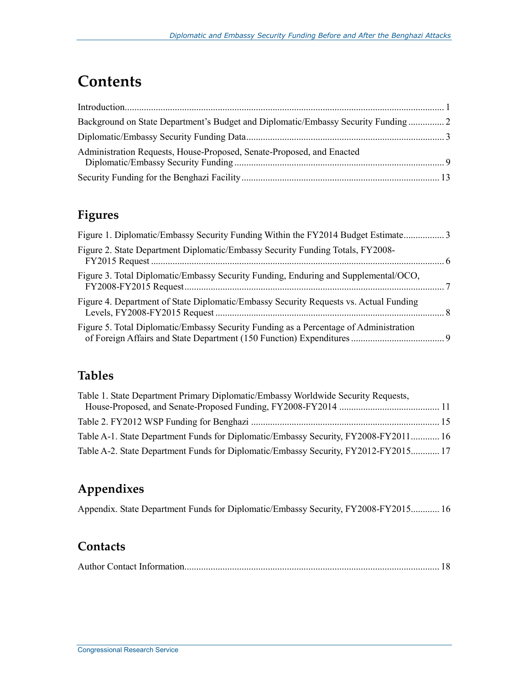### **Contents**

| Administration Requests, House-Proposed, Senate-Proposed, and Enacted |  |
|-----------------------------------------------------------------------|--|
|                                                                       |  |

### **Figures**

| Figure 2. State Department Diplomatic/Embassy Security Funding Totals, FY2008-        |  |
|---------------------------------------------------------------------------------------|--|
| Figure 3. Total Diplomatic/Embassy Security Funding, Enduring and Supplemental/OCO,   |  |
| Figure 4. Department of State Diplomatic/Embassy Security Requests vs. Actual Funding |  |
| Figure 5. Total Diplomatic/Embassy Security Funding as a Percentage of Administration |  |

### **Tables**

| Table 1. State Department Primary Diplomatic/Embassy Worldwide Security Requests,   |  |
|-------------------------------------------------------------------------------------|--|
|                                                                                     |  |
|                                                                                     |  |
| Table A-1. State Department Funds for Diplomatic/Embassy Security, FY2008-FY2011 16 |  |
| Table A-2. State Department Funds for Diplomatic/Embassy Security, FY2012-FY2015 17 |  |

### **Appendixes**

Appendix. State Department Funds for Diplomatic/Embassy Security, FY2008-FY2015 ............ 16

### **Contacts**

|--|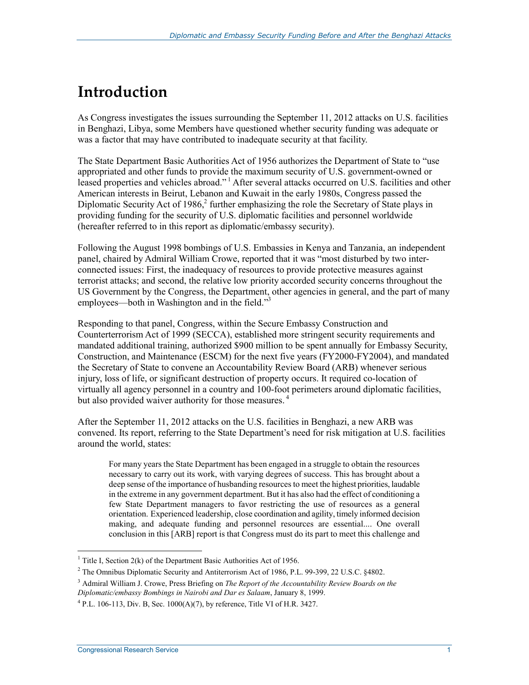## **Introduction**

As Congress investigates the issues surrounding the September 11, 2012 attacks on U.S. facilities in Benghazi, Libya, some Members have questioned whether security funding was adequate or was a factor that may have contributed to inadequate security at that facility.

The State Department Basic Authorities Act of 1956 authorizes the Department of State to "use appropriated and other funds to provide the maximum security of U.S. government-owned or leased properties and vehicles abroad." 1 After several attacks occurred on U.S. facilities and other American interests in Beirut, Lebanon and Kuwait in the early 1980s, Congress passed the Diplomatic Security Act of 1986,<sup>2</sup> further emphasizing the role the Secretary of State plays in providing funding for the security of U.S. diplomatic facilities and personnel worldwide (hereafter referred to in this report as diplomatic/embassy security).

Following the August 1998 bombings of U.S. Embassies in Kenya and Tanzania, an independent panel, chaired by Admiral William Crowe, reported that it was "most disturbed by two interconnected issues: First, the inadequacy of resources to provide protective measures against terrorist attacks; and second, the relative low priority accorded security concerns throughout the US Government by the Congress, the Department, other agencies in general, and the part of many employees—both in Washington and in the field."<sup>3</sup>

Responding to that panel, Congress, within the Secure Embassy Construction and Counterterrorism Act of 1999 (SECCA), established more stringent security requirements and mandated additional training, authorized \$900 million to be spent annually for Embassy Security, Construction, and Maintenance (ESCM) for the next five years (FY2000-FY2004), and mandated the Secretary of State to convene an Accountability Review Board (ARB) whenever serious injury, loss of life, or significant destruction of property occurs. It required co-location of virtually all agency personnel in a country and 100-foot perimeters around diplomatic facilities, but also provided waiver authority for those measures.<sup>4</sup>

After the September 11, 2012 attacks on the U.S. facilities in Benghazi, a new ARB was convened. Its report, referring to the State Department's need for risk mitigation at U.S. facilities around the world, states:

For many years the State Department has been engaged in a struggle to obtain the resources necessary to carry out its work, with varying degrees of success. This has brought about a deep sense of the importance of husbanding resources to meet the highest priorities, laudable in the extreme in any government department. But it has also had the effect of conditioning a few State Department managers to favor restricting the use of resources as a general orientation. Experienced leadership, close coordination and agility, timely informed decision making, and adequate funding and personnel resources are essential.... One overall conclusion in this [ARB] report is that Congress must do its part to meet this challenge and

<sup>&</sup>lt;sup>1</sup> Title I, Section 2(k) of the Department Basic Authorities Act of 1956.

 $2^2$  The Omnibus Diplomatic Security and Antiterrorism Act of 1986, P.L. 99-399, 22 U.S.C. §4802.

<sup>3</sup> Admiral William J. Crowe, Press Briefing on *The Report of the Accountability Review Boards on the Diplomatic/embassy Bombings in Nairobi and Dar es Salaam*, January 8, 1999.

 $^{4}$  P.L. 106-113, Div. B, Sec. 1000(A)(7), by reference, Title VI of H.R. 3427.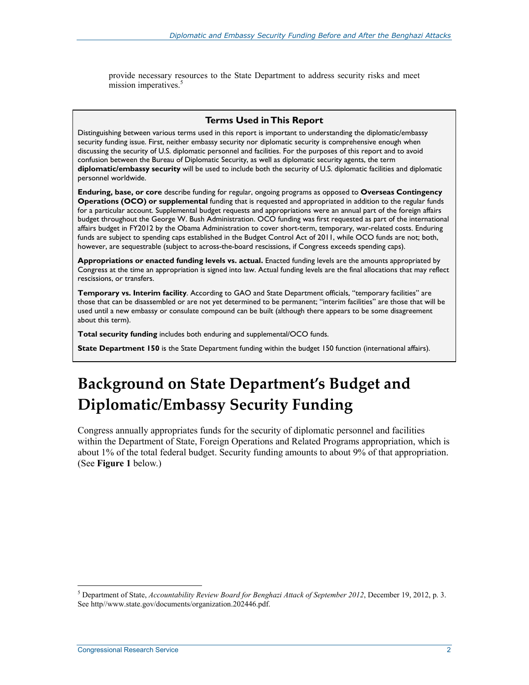provide necessary resources to the State Department to address security risks and meet mission imperatives.<sup>5</sup>

#### **Terms Used in This Report**

Distinguishing between various terms used in this report is important to understanding the diplomatic/embassy security funding issue. First, neither embassy security nor diplomatic security is comprehensive enough when discussing the security of U.S. diplomatic personnel and facilities. For the purposes of this report and to avoid confusion between the Bureau of Diplomatic Security, as well as diplomatic security agents, the term **diplomatic/embassy security** will be used to include both the security of U.S. diplomatic facilities and diplomatic personnel worldwide.

**Enduring, base, or core** describe funding for regular, ongoing programs as opposed to **Overseas Contingency Operations (OCO) or supplemental** funding that is requested and appropriated in addition to the regular funds for a particular account. Supplemental budget requests and appropriations were an annual part of the foreign affairs budget throughout the George W. Bush Administration. OCO funding was first requested as part of the international affairs budget in FY2012 by the Obama Administration to cover short-term, temporary, war-related costs. Enduring funds are subject to spending caps established in the Budget Control Act of 2011, while OCO funds are not; both, however, are sequestrable (subject to across-the-board rescissions, if Congress exceeds spending caps).

**Appropriations or enacted funding levels vs. actual.** Enacted funding levels are the amounts appropriated by Congress at the time an appropriation is signed into law. Actual funding levels are the final allocations that may reflect rescissions, or transfers.

**Temporary vs. Interim facility**. According to GAO and State Department officials, "temporary facilities" are those that can be disassembled or are not yet determined to be permanent; "interim facilities" are those that will be used until a new embassy or consulate compound can be built (although there appears to be some disagreement about this term).

**Total security funding** includes both enduring and supplemental/OCO funds.

**State Department 150** is the State Department funding within the budget 150 function (international affairs).

## **Background on State Department's Budget and Diplomatic/Embassy Security Funding**

Congress annually appropriates funds for the security of diplomatic personnel and facilities within the Department of State, Foreign Operations and Related Programs appropriation, which is about 1% of the total federal budget. Security funding amounts to about 9% of that appropriation. (See **Figure 1** below.)

<sup>5</sup> Department of State, *Accountability Review Board for Benghazi Attack of September 2012*, December 19, 2012, p. 3. See http//www.state.gov/documents/organization.202446.pdf.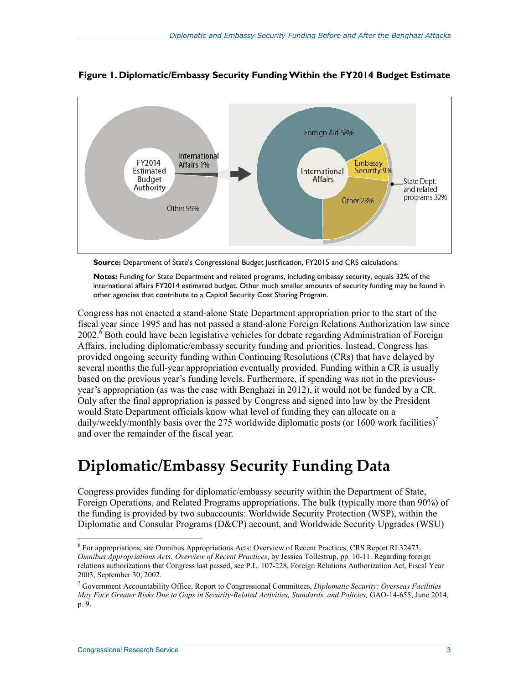

#### **Figure 1. Diplomatic/Embassy Security Funding Within the FY2014 Budget Estimate**



**Notes:** Funding for State Department and related programs, including embassy security, equals 32% of the international affairs FY2014 estimated budget. Other much smaller amounts of security funding may be found in other agencies that contribute to a Capital Security Cost Sharing Program.

Congress has not enacted a stand-alone State Department appropriation prior to the start of the fiscal year since 1995 and has not passed a stand-alone Foreign Relations Authorization law since 2002.<sup>6</sup> Both could have been legislative vehicles for debate regarding Administration of Foreign Affairs, including diplomatic/embassy security funding and priorities. Instead, Congress has provided ongoing security funding within Continuing Resolutions (CRs) that have delayed by several months the full-year appropriation eventually provided. Funding within a CR is usually based on the previous year's funding levels. Furthermore, if spending was not in the previousyear's appropriation (as was the case with Benghazi in 2012), it would not be funded by a CR. Only after the final appropriation is passed by Congress and signed into law by the President would State Department officials know what level of funding they can allocate on a daily/weekly/monthly basis over the 275 worldwide diplomatic posts (or 1600 work facilities)<sup>7</sup> and over the remainder of the fiscal year.

### **Diplomatic/Embassy Security Funding Data**

Congress provides funding for diplomatic/embassy security within the Department of State, Foreign Operations, and Related Programs appropriations. The bulk (typically more than 90%) of the funding is provided by two subaccounts: Worldwide Security Protection (WSP), within the Diplomatic and Consular Programs (D&CP) account, and Worldwide Security Upgrades (WSU)

<sup>&</sup>lt;sup>6</sup> For appropriations, see Omnibus Appropriations Acts: Overview of Recent Practices, CRS Report RL32473, *Omnibus Appropriations Acts: Overview of Recent Practices*, by Jessica Tollestrup, pp. 10-11. Regarding foreign relations authorizations that Congress last passed, see P.L. 107-228, Foreign Relations Authorization Act, Fiscal Year 2003, September 30, 2002.

<sup>7</sup> Government Accountability Office, Report to Congressional Committees, *Diplomatic Security: Overseas Facilities May Face Greater Risks Due to Gaps in Security-Related Activities, Standards, and Policies,* GAO-14-655, June 2014*,*  p. 9.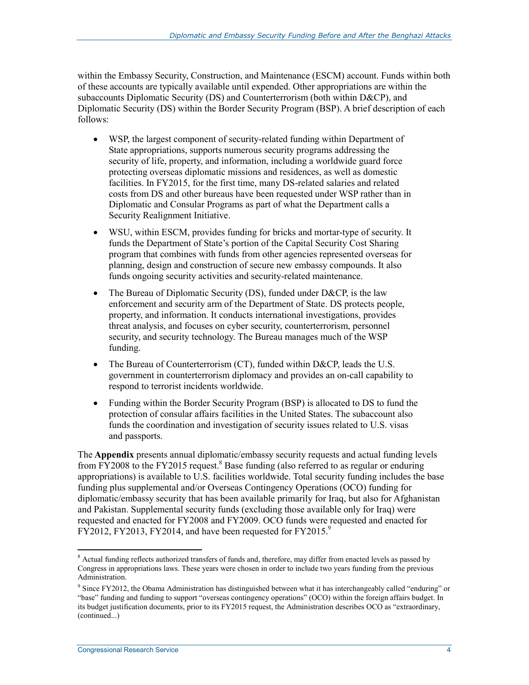within the Embassy Security, Construction, and Maintenance (ESCM) account. Funds within both of these accounts are typically available until expended. Other appropriations are within the subaccounts Diplomatic Security (DS) and Counterterrorism (both within D&CP), and Diplomatic Security (DS) within the Border Security Program (BSP). A brief description of each follows:

- WSP, the largest component of security-related funding within Department of State appropriations, supports numerous security programs addressing the security of life, property, and information, including a worldwide guard force protecting overseas diplomatic missions and residences, as well as domestic facilities. In FY2015, for the first time, many DS-related salaries and related costs from DS and other bureaus have been requested under WSP rather than in Diplomatic and Consular Programs as part of what the Department calls a Security Realignment Initiative.
- WSU, within ESCM, provides funding for bricks and mortar-type of security. It funds the Department of State's portion of the Capital Security Cost Sharing program that combines with funds from other agencies represented overseas for planning, design and construction of secure new embassy compounds. It also funds ongoing security activities and security-related maintenance.
- The Bureau of Diplomatic Security (DS), funded under D&CP, is the law enforcement and security arm of the Department of State. DS protects people, property, and information. It conducts international investigations, provides threat analysis, and focuses on cyber security, counterterrorism, personnel security, and security technology. The Bureau manages much of the WSP funding.
- The Bureau of Counterterrorism (CT), funded within D&CP, leads the U.S. government in counterterrorism diplomacy and provides an on-call capability to respond to terrorist incidents worldwide.
- Funding within the Border Security Program (BSP) is allocated to DS to fund the protection of consular affairs facilities in the United States. The subaccount also funds the coordination and investigation of security issues related to U.S. visas and passports.

The **Appendix** presents annual diplomatic/embassy security requests and actual funding levels from FY2008 to the FY2015 request.<sup>8</sup> Base funding (also referred to as regular or enduring appropriations) is available to U.S. facilities worldwide. Total security funding includes the base funding plus supplemental and/or Overseas Contingency Operations (OCO) funding for diplomatic/embassy security that has been available primarily for Iraq, but also for Afghanistan and Pakistan. Supplemental security funds (excluding those available only for Iraq) were requested and enacted for FY2008 and FY2009. OCO funds were requested and enacted for  $\overline{YY}2012$ , FY2013, FY2014, and have been requested for FY2015.<sup>9</sup>

<sup>&</sup>lt;sup>8</sup> Actual funding reflects authorized transfers of funds and, therefore, may differ from enacted levels as passed by Congress in appropriations laws. These years were chosen in order to include two years funding from the previous Administration.

<sup>&</sup>lt;sup>9</sup> Since FY2012, the Obama Administration has distinguished between what it has interchangeably called "enduring" or "base" funding and funding to support "overseas contingency operations" (OCO) within the foreign affairs budget. In its budget justification documents, prior to its FY2015 request, the Administration describes OCO as "extraordinary, (continued...)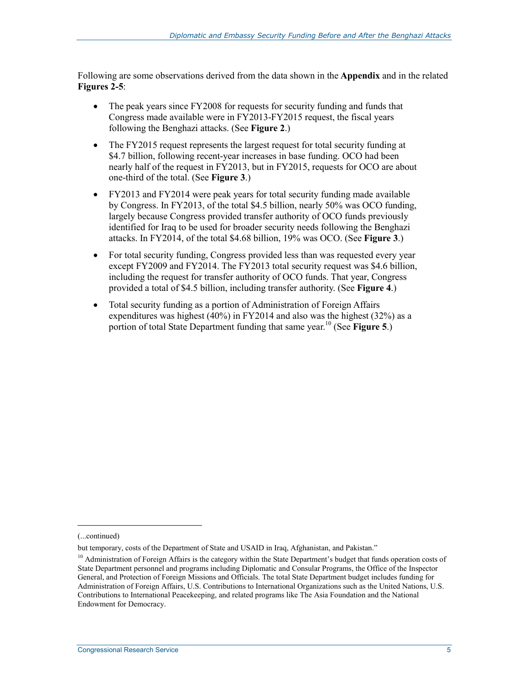Following are some observations derived from the data shown in the **Appendix** and in the related **Figures 2-5**:

- The peak years since FY2008 for requests for security funding and funds that Congress made available were in FY2013-FY2015 request, the fiscal years following the Benghazi attacks. (See **Figure 2**.)
- The FY2015 request represents the largest request for total security funding at \$4.7 billion, following recent-year increases in base funding. OCO had been nearly half of the request in FY2013, but in FY2015, requests for OCO are about one-third of the total. (See **Figure 3**.)
- FY2013 and FY2014 were peak years for total security funding made available by Congress. In FY2013, of the total \$4.5 billion, nearly 50% was OCO funding, largely because Congress provided transfer authority of OCO funds previously identified for Iraq to be used for broader security needs following the Benghazi attacks. In FY2014, of the total \$4.68 billion, 19% was OCO. (See **Figure 3**.)
- For total security funding, Congress provided less than was requested every year except FY2009 and FY2014. The FY2013 total security request was \$4.6 billion, including the request for transfer authority of OCO funds. That year, Congress provided a total of \$4.5 billion, including transfer authority. (See **Figure 4**.)
- Total security funding as a portion of Administration of Foreign Affairs expenditures was highest (40%) in FY2014 and also was the highest (32%) as a portion of total State Department funding that same year.10 (See **Figure 5**.)

<sup>(...</sup>continued)

but temporary, costs of the Department of State and USAID in Iraq, Afghanistan, and Pakistan."

 $10$  Administration of Foreign Affairs is the category within the State Department's budget that funds operation costs of State Department personnel and programs including Diplomatic and Consular Programs, the Office of the Inspector General, and Protection of Foreign Missions and Officials. The total State Department budget includes funding for Administration of Foreign Affairs, U.S. Contributions to International Organizations such as the United Nations, U.S. Contributions to International Peacekeeping, and related programs like The Asia Foundation and the National Endowment for Democracy.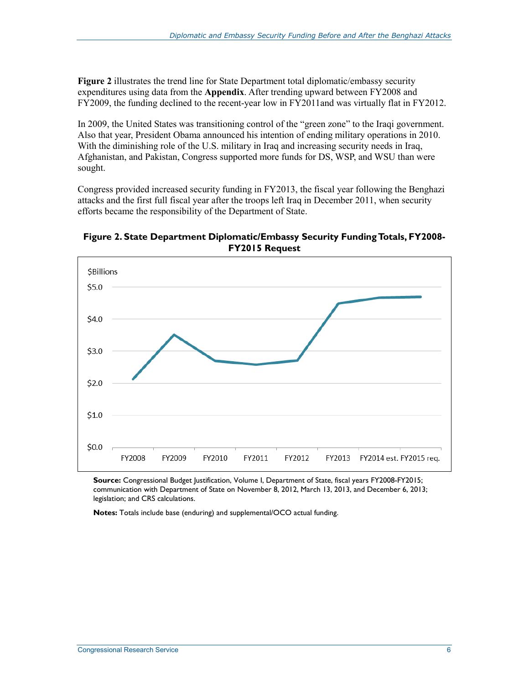**Figure 2** illustrates the trend line for State Department total diplomatic/embassy security expenditures using data from the **Appendix**. After trending upward between FY2008 and FY2009, the funding declined to the recent-year low in FY2011and was virtually flat in FY2012.

In 2009, the United States was transitioning control of the "green zone" to the Iraqi government. Also that year, President Obama announced his intention of ending military operations in 2010. With the diminishing role of the U.S. military in Iraq and increasing security needs in Iraq, Afghanistan, and Pakistan, Congress supported more funds for DS, WSP, and WSU than were sought.

Congress provided increased security funding in FY2013, the fiscal year following the Benghazi attacks and the first full fiscal year after the troops left Iraq in December 2011, when security efforts became the responsibility of the Department of State.





**Source:** Congressional Budget Justification, Volume I, Department of State, fiscal years FY2008-FY2015; communication with Department of State on November 8, 2012, March 13, 2013, and December 6, 2013; legislation; and CRS calculations.

**Notes:** Totals include base (enduring) and supplemental/OCO actual funding.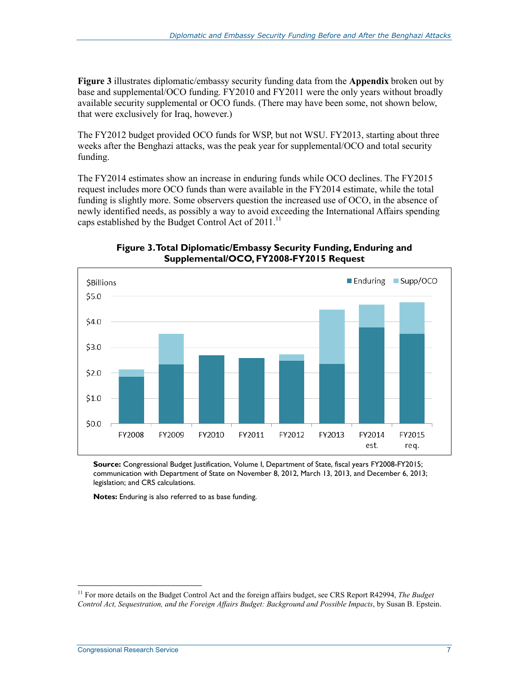**Figure 3** illustrates diplomatic/embassy security funding data from the **Appendix** broken out by base and supplemental/OCO funding. FY2010 and FY2011 were the only years without broadly available security supplemental or OCO funds. (There may have been some, not shown below, that were exclusively for Iraq, however.)

The FY2012 budget provided OCO funds for WSP, but not WSU. FY2013, starting about three weeks after the Benghazi attacks, was the peak year for supplemental/OCO and total security funding.

The FY2014 estimates show an increase in enduring funds while OCO declines. The FY2015 request includes more OCO funds than were available in the FY2014 estimate, while the total funding is slightly more. Some observers question the increased use of OCO, in the absence of newly identified needs, as possibly a way to avoid exceeding the International Affairs spending caps established by the Budget Control Act of 2011.<sup>11</sup>



**Figure 3. Total Diplomatic/Embassy Security Funding, Enduring and Supplemental/OCO, FY2008-FY2015 Request** 

**Source:** Congressional Budget Justification, Volume I, Department of State, fiscal years FY2008-FY2015; communication with Department of State on November 8, 2012, March 13, 2013, and December 6, 2013; legislation; and CRS calculations.

**Notes:** Enduring is also referred to as base funding.

<sup>11</sup> For more details on the Budget Control Act and the foreign affairs budget, see CRS Report R42994, *The Budget Control Act, Sequestration, and the Foreign Affairs Budget: Background and Possible Impacts*, by Susan B. Epstein.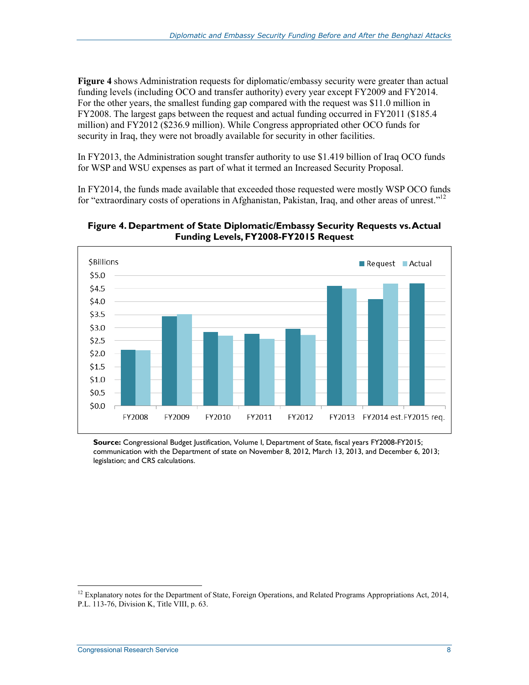**Figure 4** shows Administration requests for diplomatic/embassy security were greater than actual funding levels (including OCO and transfer authority) every year except FY2009 and FY2014. For the other years, the smallest funding gap compared with the request was \$11.0 million in FY2008. The largest gaps between the request and actual funding occurred in FY2011 (\$185.4 million) and FY2012 (\$236.9 million). While Congress appropriated other OCO funds for security in Iraq, they were not broadly available for security in other facilities.

In FY2013, the Administration sought transfer authority to use \$1.419 billion of Iraq OCO funds for WSP and WSU expenses as part of what it termed an Increased Security Proposal.

In FY2014, the funds made available that exceeded those requested were mostly WSP OCO funds for "extraordinary costs of operations in Afghanistan, Pakistan, Iraq, and other areas of unrest."12

#### **Figure 4. Department of State Diplomatic/Embassy Security Requests vs. Actual Funding Levels, FY2008-FY2015 Request**



**Source:** Congressional Budget Justification, Volume I, Department of State, fiscal years FY2008-FY2015; communication with the Department of state on November 8, 2012, March 13, 2013, and December 6, 2013; legislation; and CRS calculations.

 $12$  Explanatory notes for the Department of State, Foreign Operations, and Related Programs Appropriations Act, 2014, P.L. 113-76, Division K, Title VIII, p. 63.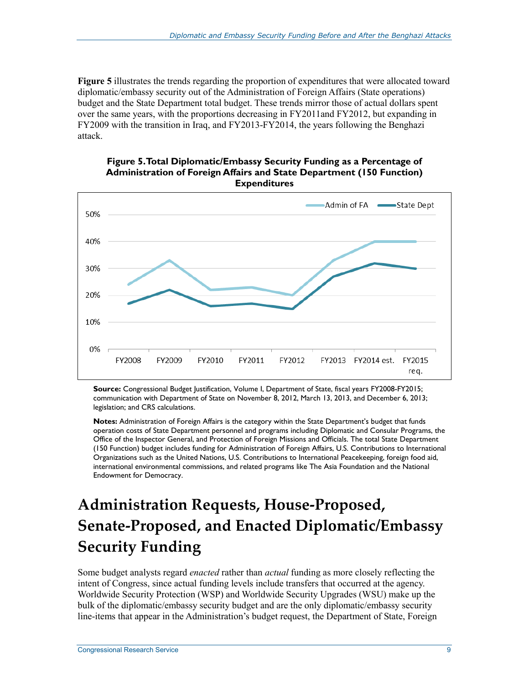**Figure 5** illustrates the trends regarding the proportion of expenditures that were allocated toward diplomatic/embassy security out of the Administration of Foreign Affairs (State operations) budget and the State Department total budget. These trends mirror those of actual dollars spent over the same years, with the proportions decreasing in FY2011and FY2012, but expanding in FY2009 with the transition in Iraq, and FY2013-FY2014, the years following the Benghazi attack.



#### **Figure 5. Total Diplomatic/Embassy Security Funding as a Percentage of Administration of Foreign Affairs and State Department (150 Function) Expenditures**

**Source:** Congressional Budget Justification, Volume I, Department of State, fiscal years FY2008-FY2015; communication with Department of State on November 8, 2012, March 13, 2013, and December 6, 2013; legislation; and CRS calculations.

**Notes:** Administration of Foreign Affairs is the category within the State Department's budget that funds operation costs of State Department personnel and programs including Diplomatic and Consular Programs, the Office of the Inspector General, and Protection of Foreign Missions and Officials. The total State Department (150 Function) budget includes funding for Administration of Foreign Affairs, U.S. Contributions to International Organizations such as the United Nations, U.S. Contributions to International Peacekeeping, foreign food aid, international environmental commissions, and related programs like The Asia Foundation and the National Endowment for Democracy.

## **Administration Requests, House-Proposed, Senate-Proposed, and Enacted Diplomatic/Embassy Security Funding**

Some budget analysts regard *enacted* rather than *actual* funding as more closely reflecting the intent of Congress, since actual funding levels include transfers that occurred at the agency. Worldwide Security Protection (WSP) and Worldwide Security Upgrades (WSU) make up the bulk of the diplomatic/embassy security budget and are the only diplomatic/embassy security line-items that appear in the Administration's budget request, the Department of State, Foreign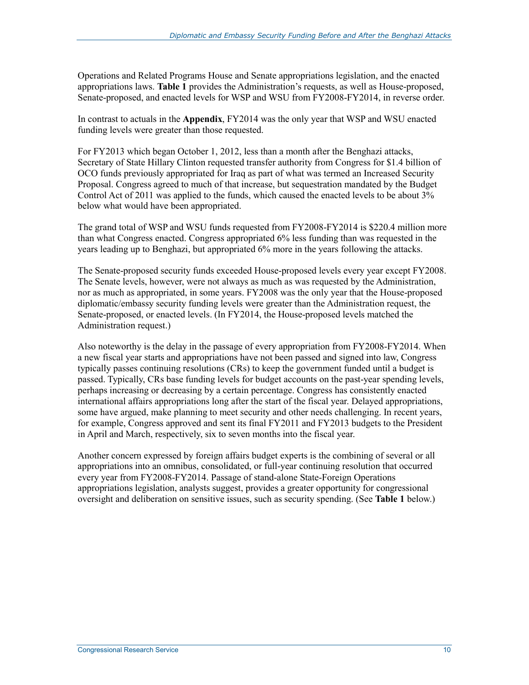Operations and Related Programs House and Senate appropriations legislation, and the enacted appropriations laws. **Table 1** provides the Administration's requests, as well as House-proposed, Senate-proposed, and enacted levels for WSP and WSU from FY2008-FY2014, in reverse order.

In contrast to actuals in the **Appendix**, FY2014 was the only year that WSP and WSU enacted funding levels were greater than those requested.

For FY2013 which began October 1, 2012, less than a month after the Benghazi attacks, Secretary of State Hillary Clinton requested transfer authority from Congress for \$1.4 billion of OCO funds previously appropriated for Iraq as part of what was termed an Increased Security Proposal. Congress agreed to much of that increase, but sequestration mandated by the Budget Control Act of 2011 was applied to the funds, which caused the enacted levels to be about 3% below what would have been appropriated.

The grand total of WSP and WSU funds requested from FY2008-FY2014 is \$220.4 million more than what Congress enacted. Congress appropriated 6% less funding than was requested in the years leading up to Benghazi, but appropriated 6% more in the years following the attacks.

The Senate-proposed security funds exceeded House-proposed levels every year except FY2008. The Senate levels, however, were not always as much as was requested by the Administration, nor as much as appropriated, in some years. FY2008 was the only year that the House-proposed diplomatic/embassy security funding levels were greater than the Administration request, the Senate-proposed, or enacted levels. (In FY2014, the House-proposed levels matched the Administration request.)

Also noteworthy is the delay in the passage of every appropriation from FY2008-FY2014. When a new fiscal year starts and appropriations have not been passed and signed into law, Congress typically passes continuing resolutions (CRs) to keep the government funded until a budget is passed. Typically, CRs base funding levels for budget accounts on the past-year spending levels, perhaps increasing or decreasing by a certain percentage. Congress has consistently enacted international affairs appropriations long after the start of the fiscal year. Delayed appropriations, some have argued, make planning to meet security and other needs challenging. In recent years, for example, Congress approved and sent its final FY2011 and FY2013 budgets to the President in April and March, respectively, six to seven months into the fiscal year.

Another concern expressed by foreign affairs budget experts is the combining of several or all appropriations into an omnibus, consolidated, or full-year continuing resolution that occurred every year from FY2008-FY2014. Passage of stand-alone State-Foreign Operations appropriations legislation, analysts suggest, provides a greater opportunity for congressional oversight and deliberation on sensitive issues, such as security spending. (See **Table 1** below.)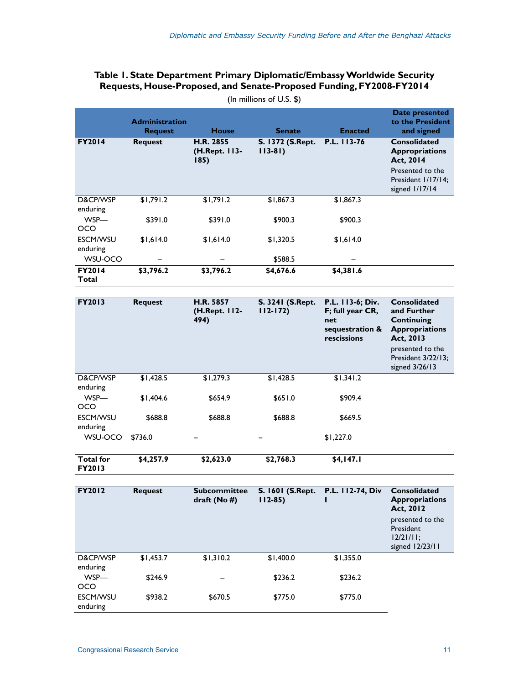#### **Table 1. State Department Primary Diplomatic/Embassy Worldwide Security Requests, House-Proposed, and Senate-Proposed Funding, FY2008-FY2014**

|                        | <b>Administration</b><br><b>Request</b> | <b>House</b>                              | <b>Senate</b>                       | <b>Enacted</b> | Date presented<br>to the President<br>and signed          |
|------------------------|-----------------------------------------|-------------------------------------------|-------------------------------------|----------------|-----------------------------------------------------------|
| <b>FY2014</b>          | <b>Request</b>                          | <b>H.R. 2855</b><br>(H.Rept. 113-<br>185) | <b>S. 1372 (S.Rept.</b><br>$113-81$ | P.L. 113-76    | <b>Consolidated</b><br><b>Appropriations</b><br>Act, 2014 |
|                        |                                         |                                           |                                     |                | Presented to the<br>President 1/17/14;<br>signed 1/17/14  |
| D&CP/WSP<br>enduring   | \$1,791.2                               | \$1,791.2                                 | \$1,867.3                           | \$1,867.3      |                                                           |
| WSP-<br>OCO            | \$391.0                                 | \$391.0                                   | \$900.3                             | \$900.3        |                                                           |
| ESCM/WSU<br>enduring   | \$1.614.0                               | \$1,614.0                                 | \$1,320.5                           | \$1,614.0      |                                                           |
| WSU-OCO                |                                         |                                           | \$588.5                             |                |                                                           |
| <b>FY2014</b><br>Total | \$3,796.2                               | \$3,796.2                                 | \$4,676.6                           | \$4,381.6      |                                                           |

(In millions of U.S. \$)

| <b>FY2013</b>               | <b>Request</b> | H.R. 5857<br>(H.Rept. 112-<br>494) | S. 3241 (S.Rept.<br>$112 - 172$ | P.L. 113-6; Div.<br>F; full year CR,<br>net<br>sequestration &<br>rescissions | <b>Consolidated</b><br>and Further<br>Continuing<br><b>Appropriations</b><br>Act, 2013<br>presented to the<br>President 3/22/13;<br>signed 3/26/13 |
|-----------------------------|----------------|------------------------------------|---------------------------------|-------------------------------------------------------------------------------|----------------------------------------------------------------------------------------------------------------------------------------------------|
| D&CP/WSP<br>enduring        | \$1,428.5      | \$1,279.3                          | \$1,428.5                       | \$1.341.2                                                                     |                                                                                                                                                    |
| WSP-<br><b>OCO</b>          | \$1.404.6      | \$654.9                            | \$651.0                         | \$909.4                                                                       |                                                                                                                                                    |
| <b>ESCM/WSU</b><br>enduring | \$688.8        | \$688.8                            | \$688.8                         | \$669.5                                                                       |                                                                                                                                                    |
| WSU-OCO                     | \$736.0        |                                    |                                 | \$1,227.0                                                                     |                                                                                                                                                    |
| <b>Total for</b>            | \$4,257.9      | \$2,623.0                          | \$2,768.3                       | \$4,147.1                                                                     |                                                                                                                                                    |

| <b>Total for</b> |  |
|------------------|--|
| <b>FY2013</b>    |  |

| <b>FY2012</b>               | <b>Request</b> | <b>Subcommittee</b><br>draft ( $No$ #) | S. 1601 (S.Rept.<br>$112 - 85$ | P.L. 112-74, Div | <b>Consolidated</b><br><b>Appropriations</b><br>Act, 2012        |
|-----------------------------|----------------|----------------------------------------|--------------------------------|------------------|------------------------------------------------------------------|
|                             |                |                                        |                                |                  | presented to the<br>President<br>$12/21/11$ ;<br>signed 12/23/11 |
| D&CP/WSP<br>enduring        | \$1,453.7      | \$1,310.2                              | \$1,400.0                      | \$1,355.0        |                                                                  |
| WSP-<br><b>OCO</b>          | \$246.9        | -                                      | \$236.2                        | \$236.2          |                                                                  |
| <b>ESCM/WSU</b><br>enduring | \$938.2        | \$670.5                                | \$775.0                        | \$775.0          |                                                                  |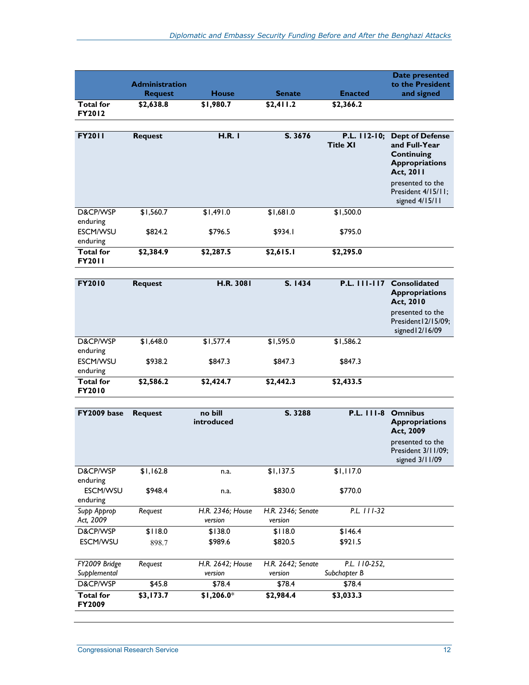|                                   |                                         |              |               |                                 | Date presented                                                                                                           |
|-----------------------------------|-----------------------------------------|--------------|---------------|---------------------------------|--------------------------------------------------------------------------------------------------------------------------|
|                                   | <b>Administration</b><br><b>Request</b> | <b>House</b> | <b>Senate</b> | <b>Enacted</b>                  | to the President<br>and signed                                                                                           |
| <b>Total</b> for<br><b>FY2012</b> | \$2,638.8                               | \$1,980.7    | \$2,411.2     | \$2,366.2                       |                                                                                                                          |
|                                   |                                         |              |               |                                 |                                                                                                                          |
| <b>FY2011</b>                     | <b>Request</b>                          | H.R. I       | S. 3676       | P.L. 112-10;<br><b>Title XI</b> | <b>Dept of Defense</b><br>and Full-Year<br><b>Continuing</b><br><b>Appropriations</b><br><b>Act, 2011</b>                |
|                                   |                                         |              |               |                                 | presented to the<br>President 4/15/11;<br>signed 4/15/11                                                                 |
| D&CP/WSP<br>enduring              | \$1,560.7                               | \$1,491.0    | \$1,681.0     | \$1,500.0                       |                                                                                                                          |
| <b>ESCM/WSU</b><br>enduring       | \$824.2                                 | \$796.5      | \$934.1       | \$795.0                         |                                                                                                                          |
| <b>Total</b> for<br><b>FY2011</b> | \$2,384.9                               | \$2,287.5    | \$2,615.1     | \$2,295.0                       |                                                                                                                          |
|                                   |                                         |              |               |                                 |                                                                                                                          |
| <b>FY2010</b>                     | <b>Request</b>                          | H.R. 3081    | S. 1434       | P.L. 111-117                    | <b>Consolidated</b><br><b>Appropriations</b><br>Act, 2010<br>presented to the<br>President 12/15/09;<br>$sim$ $10/16/00$ |

|                                   |           |           |           |           | signed $12/16/09$ |
|-----------------------------------|-----------|-----------|-----------|-----------|-------------------|
| D&CP/WSP<br>enduring              | \$1,648.0 | \$1,577.4 | \$1,595.0 | \$1,586.2 |                   |
| <b>ESCM/WSU</b><br>enduring       | \$938.2   | \$847.3   | \$847.3   | \$847.3   |                   |
| <b>Total for</b><br><b>FY2010</b> | \$2,586.2 | \$2,424.7 | \$2,442.3 | \$2,433.5 |                   |

| FY2009 base                       | <b>Request</b> | no bill<br>introduced       | S. 3288                      | $P.L.$ $111-8$                | <b>Omnibus</b><br><b>Appropriations</b><br>Act, 2009     |
|-----------------------------------|----------------|-----------------------------|------------------------------|-------------------------------|----------------------------------------------------------|
|                                   |                |                             |                              |                               | presented to the<br>President 3/11/09;<br>signed 3/11/09 |
| D&CP/WSP                          | \$1,162.8      | n.a.                        | \$1,137.5                    | \$1,117.0                     |                                                          |
| enduring                          |                |                             |                              |                               |                                                          |
| <b>ESCM/WSU</b><br>enduring       | \$948.4        | n.a.                        | \$830.0                      | \$770.0                       |                                                          |
| Supp Approp                       | Reguest        | H.R. 2346; House            | H.R. 2346; Senate            | $P.L.$ $I/I-32$               |                                                          |
| Act, 2009                         |                | version                     | version                      |                               |                                                          |
| D&CP/WSP                          | \$118.0        | \$138.0                     | \$118.0                      | \$146.4                       |                                                          |
| <b>ESCM/WSU</b>                   | 898.7          | \$989.6                     | \$820.5                      | \$921.5                       |                                                          |
|                                   |                |                             |                              |                               |                                                          |
| FY2009 Bridge<br>Supplemental     | Reguest        | H.R. 2642; House<br>version | H.R. 2642; Senate<br>version | P.L. 110-252.<br>Subchapter B |                                                          |
| D&CP/WSP                          | \$45.8         | \$78.4                      | \$78.4                       | \$78.4                        |                                                          |
| <b>Total for</b><br><b>FY2009</b> | \$3,173.7      | $$1,206.0*$                 | \$2,984.4                    | \$3,033.3                     |                                                          |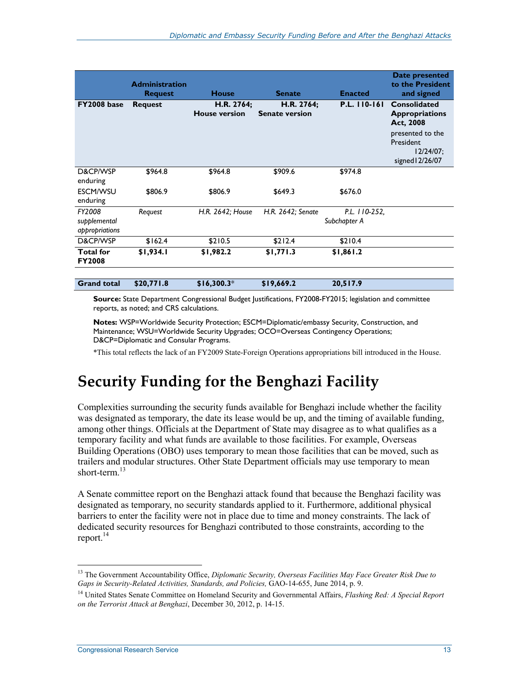|                                          | <b>Administration</b><br><b>Request</b> | <b>House</b>                       | <b>Senate</b>                       | <b>Enacted</b>                | Date presented<br>to the President<br>and signed                 |
|------------------------------------------|-----------------------------------------|------------------------------------|-------------------------------------|-------------------------------|------------------------------------------------------------------|
| <b>FY2008 base</b>                       | <b>Request</b>                          | H.R. 2764;<br><b>House version</b> | H.R. 2764;<br><b>Senate version</b> | P.L. 110-161                  | Consolidated<br><b>Appropriations</b><br>Act, 2008               |
|                                          |                                         |                                    |                                     |                               | presented to the<br>President<br>$12/24/07$ ;<br>signed 12/26/07 |
| D&CP/WSP<br>enduring                     | \$964.8                                 | \$964.8                            | \$909.6                             | \$974.8                       |                                                                  |
| <b>ESCM/WSU</b><br>enduring              | \$806.9                                 | \$806.9                            | \$649.3                             | \$676.0                       |                                                                  |
| FY2008<br>supplemental<br>appropriations | Reguest                                 | H.R. 2642; House                   | H.R. 2642; Senate                   | P.L. 110-252.<br>Subchapter A |                                                                  |
| D&CP/WSP                                 | \$162.4                                 | \$210.5                            | \$212.4                             | \$210.4                       |                                                                  |
| <b>Total</b> for<br><b>FY2008</b>        | \$1,934.1                               | \$1,982.2                          | \$1,771.3                           | \$1,861.2                     |                                                                  |
| <b>Grand total</b>                       | \$20,771.8                              | $$16,300.3*$                       | \$19,669.2                          | 20,517.9                      |                                                                  |

**Source:** State Department Congressional Budget Justifications, FY2008-FY2015; legislation and committee reports, as noted; and CRS calculations.

**Notes:** WSP=Worldwide Security Protection; ESCM=Diplomatic/embassy Security, Construction, and Maintenance; WSU=Worldwide Security Upgrades; OCO=Overseas Contingency Operations; D&CP=Diplomatic and Consular Programs.

\*This total reflects the lack of an FY2009 State-Foreign Operations appropriations bill introduced in the House.

### **Security Funding for the Benghazi Facility**

Complexities surrounding the security funds available for Benghazi include whether the facility was designated as temporary, the date its lease would be up, and the timing of available funding, among other things. Officials at the Department of State may disagree as to what qualifies as a temporary facility and what funds are available to those facilities. For example, Overseas Building Operations (OBO) uses temporary to mean those facilities that can be moved, such as trailers and modular structures. Other State Department officials may use temporary to mean short-term.<sup>13</sup>

A Senate committee report on the Benghazi attack found that because the Benghazi facility was designated as temporary, no security standards applied to it. Furthermore, additional physical barriers to enter the facility were not in place due to time and money constraints. The lack of dedicated security resources for Benghazi contributed to those constraints, according to the report. $^{14}$ 

<sup>&</sup>lt;sup>13</sup> The Government Accountability Office, *Diplomatic Security, Overseas Facilities May Face Greater Risk Due to Gaps in Security-Related Activities, Standards, and Policies,* GAO-14-655, June 2014, p. 9.

<sup>14</sup> United States Senate Committee on Homeland Security and Governmental Affairs, *Flashing Red: A Special Report on the Terrorist Attack at Benghazi*, December 30, 2012, p. 14-15.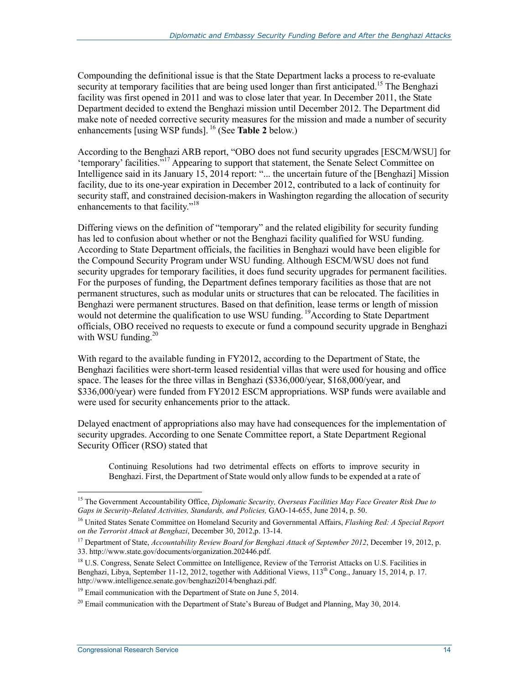Compounding the definitional issue is that the State Department lacks a process to re-evaluate security at temporary facilities that are being used longer than first anticipated.<sup>15</sup> The Benghazi facility was first opened in 2011 and was to close later that year. In December 2011, the State Department decided to extend the Benghazi mission until December 2012. The Department did make note of needed corrective security measures for the mission and made a number of security enhancements [using WSP funds]. 16 (See **Table 2** below.)

According to the Benghazi ARB report, "OBO does not fund security upgrades [ESCM/WSU] for 'temporary' facilities."17 Appearing to support that statement, the Senate Select Committee on Intelligence said in its January 15, 2014 report: "... the uncertain future of the [Benghazi] Mission facility, due to its one-year expiration in December 2012, contributed to a lack of continuity for security staff, and constrained decision-makers in Washington regarding the allocation of security enhancements to that facility."<sup>18</sup>

Differing views on the definition of "temporary" and the related eligibility for security funding has led to confusion about whether or not the Benghazi facility qualified for WSU funding. According to State Department officials, the facilities in Benghazi would have been eligible for the Compound Security Program under WSU funding. Although ESCM/WSU does not fund security upgrades for temporary facilities, it does fund security upgrades for permanent facilities. For the purposes of funding, the Department defines temporary facilities as those that are not permanent structures, such as modular units or structures that can be relocated. The facilities in Benghazi were permanent structures. Based on that definition, lease terms or length of mission would not determine the qualification to use WSU funding.<sup>19</sup>According to State Department officials, OBO received no requests to execute or fund a compound security upgrade in Benghazi with WSU funding. $20$ 

With regard to the available funding in FY2012, according to the Department of State, the Benghazi facilities were short-term leased residential villas that were used for housing and office space. The leases for the three villas in Benghazi (\$336,000/year, \$168,000/year, and \$336,000/year) were funded from FY2012 ESCM appropriations. WSP funds were available and were used for security enhancements prior to the attack.

Delayed enactment of appropriations also may have had consequences for the implementation of security upgrades. According to one Senate Committee report, a State Department Regional Security Officer (RSO) stated that

Continuing Resolutions had two detrimental effects on efforts to improve security in Benghazi. First, the Department of State would only allow funds to be expended at a rate of

<u>.</u>

<sup>15</sup> The Government Accountability Office, *Diplomatic Security, Overseas Facilities May Face Greater Risk Due to Gaps in Security-Related Activities, Standards, and Policies,* GAO-14-655, June 2014, p. 50.

<sup>16</sup> United States Senate Committee on Homeland Security and Governmental Affairs, *Flashing Red: A Special Report on the Terrorist Attack at Benghazi*, December 30, 2012,p. 13-14.

<sup>17</sup> Department of State, *Accountability Review Board for Benghazi Attack of September 2012*, December 19, 2012, p. 33. http://www.state.gov/documents/organization.202446.pdf.

<sup>&</sup>lt;sup>18</sup> U.S. Congress, Senate Select Committee on Intelligence, Review of the Terrorist Attacks on U.S. Facilities in Benghazi, Libya, September 11-12, 2012, together with Additional Views, 113<sup>th</sup> Cong., January 15, 2014, p. 17. http://www.intelligence.senate.gov/benghazi2014/benghazi.pdf.

 $19$  Email communication with the Department of State on June 5, 2014.

<sup>&</sup>lt;sup>20</sup> Email communication with the Department of State's Bureau of Budget and Planning, May 30, 2014.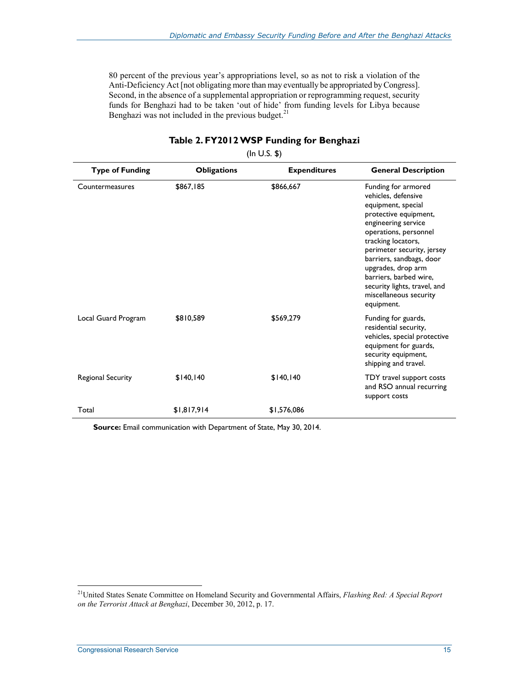80 percent of the previous year's appropriations level, so as not to risk a violation of the Anti-Deficiency Act [not obligating more than may eventually be appropriated by Congress]. Second, in the absence of a supplemental appropriation or reprogramming request, security funds for Benghazi had to be taken 'out of hide' from funding levels for Libya because Benghazi was not included in the previous budget. $21$ 

| <b>Type of Funding</b> | <b>Obligations</b> | <b>Expenditures</b> | <b>General Description</b>                                                                                                                                                                                                                                                                                                                        |
|------------------------|--------------------|---------------------|---------------------------------------------------------------------------------------------------------------------------------------------------------------------------------------------------------------------------------------------------------------------------------------------------------------------------------------------------|
| Countermeasures        | \$867.185          | \$866,667           | Funding for armored<br>vehicles, defensive<br>equipment, special<br>protective equipment,<br>engineering service<br>operations, personnel<br>tracking locators,<br>perimeter security, jersey<br>barriers, sandbags, door<br>upgrades, drop arm<br>barriers, barbed wire,<br>security lights, travel, and<br>miscellaneous security<br>equipment. |
| Local Guard Program    | \$810,589          | \$569,279           | Funding for guards,<br>residential security,<br>vehicles, special protective<br>equipment for guards,<br>security equipment,<br>shipping and travel.                                                                                                                                                                                              |
| Regional Security      | \$140,140          | \$140, 140          | TDY travel support costs<br>and RSO annual recurring<br>support costs                                                                                                                                                                                                                                                                             |
| Total                  | \$1,817,914        | \$1,576,086         |                                                                                                                                                                                                                                                                                                                                                   |

#### **Table 2. FY2012 WSP Funding for Benghazi**

(In U.S. \$)

**Source:** Email communication with Department of State, May 30, 2014.

<sup>21</sup>United States Senate Committee on Homeland Security and Governmental Affairs, *Flashing Red: A Special Report on the Terrorist Attack at Benghazi*, December 30, 2012, p. 17.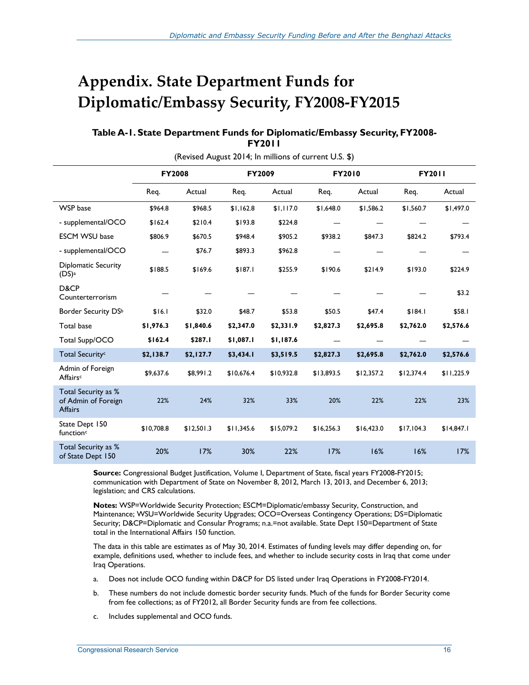## **Appendix. State Department Funds for Diplomatic/Embassy Security, FY2008-FY2015**

#### **Table A-1. State Department Funds for Diplomatic/Embassy Security, FY2008- FY2011**

|                                                              | <b>FY2008</b> |            | FY2009     |            | FY2010     |            | FY2011     |            |
|--------------------------------------------------------------|---------------|------------|------------|------------|------------|------------|------------|------------|
|                                                              | Req.          | Actual     | Req.       | Actual     | Req.       | Actual     | Req.       | Actual     |
| WSP base                                                     | \$964.8       | \$968.5    | \$1,162.8  | \$1,117.0  | \$1,648.0  | \$1,586.2  | \$1,560.7  | \$1,497.0  |
| - supplemental/OCO                                           | \$162.4       | \$210.4    | \$193.8    | \$224.8    |            |            |            |            |
| <b>ESCM WSU base</b>                                         | \$806.9       | \$670.5    | \$948.4    | \$905.2    | \$938.2    | \$847.3    | \$824.2    | \$793.4    |
| - supplemental/OCO                                           |               | \$76.7     | \$893.3    | \$962.8    |            |            |            |            |
| Diplomatic Security<br>(DS) <sup>a</sup>                     | \$188.5       | \$169.6    | \$187.1    | \$255.9    | \$190.6    | \$214.9    | \$193.0    | \$224.9    |
| D&CP<br>Counterterrorism                                     |               |            |            |            |            |            |            | \$3.2      |
| Border Security DSb                                          | \$16.1        | \$32.0     | \$48.7     | \$53.8     | \$50.5     | \$47.4     | \$184.1    | \$58.1     |
| Total base                                                   | \$1,976.3     | \$1,840.6  | \$2,347.0  | \$2,331.9  | \$2,827.3  | \$2,695.8  | \$2,762.0  | \$2,576.6  |
| Total Supp/OCO                                               | \$162.4       | \$287.I    | \$1,087.1  | \$1,187.6  |            |            |            |            |
| Total Security <sup>c</sup>                                  | \$2,138.7     | \$2,127.7  | \$3,434.1  | \$3,519.5  | \$2,827.3  | \$2,695.8  | \$2,762.0  | \$2,576.6  |
| Admin of Foreign<br>Affairsc                                 | \$9,637.6     | \$8,991.2  | \$10,676.4 | \$10,932.8 | \$13,893.5 | \$12,357.2 | \$12,374.4 | \$11,225.9 |
| Total Security as %<br>of Admin of Foreign<br><b>Affairs</b> | 22%           | 24%        | 32%        | 33%        | 20%        | 22%        | 22%        | 23%        |
| State Dept 150<br>function <sup>c</sup>                      | \$10,708.8    | \$12,501.3 | \$11,345.6 | \$15,079.2 | \$16,256.3 | \$16,423.0 | \$17,104.3 | \$14,847.1 |
| Total Security as %<br>of State Dept 150                     | 20%           | 17%        | 30%        | 22%        | 17%        | 16%        | 16%        | 17%        |

(Revised August 2014; In millions of current U.S. \$)

**Source:** Congressional Budget Justification, Volume I, Department of State, fiscal years FY2008-FY2015; communication with Department of State on November 8, 2012, March 13, 2013, and December 6, 2013; legislation; and CRS calculations.

**Notes:** WSP=Worldwide Security Protection; ESCM=Diplomatic/embassy Security, Construction, and Maintenance; WSU=Worldwide Security Upgrades; OCO=Overseas Contingency Operations; DS=Diplomatic Security; D&CP=Diplomatic and Consular Programs; n.a.=not available. State Dept 150=Department of State total in the International Affairs 150 function.

The data in this table are estimates as of May 30, 2014. Estimates of funding levels may differ depending on, for example, definitions used, whether to include fees, and whether to include security costs in Iraq that come under Iraq Operations.

- a. Does not include OCO funding within D&CP for DS listed under Iraq Operations in FY2008-FY2014.
- b. These numbers do not include domestic border security funds. Much of the funds for Border Security come from fee collections; as of FY2012, all Border Security funds are from fee collections.
- c. Includes supplemental and OCO funds.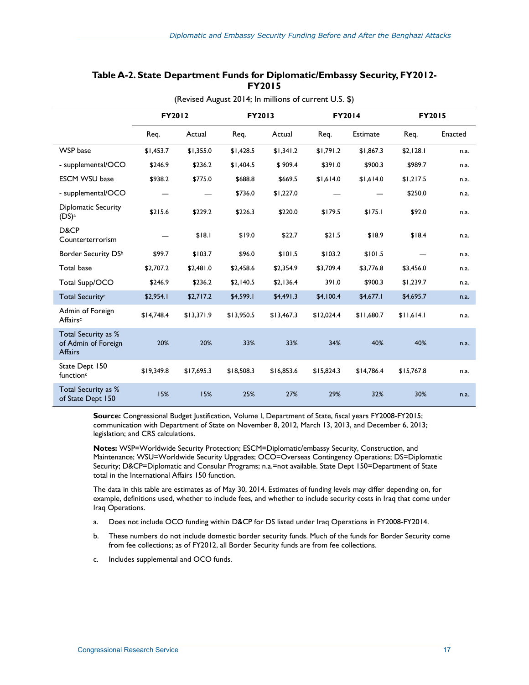| (Revised August 2014; In millions of current U.S. \$)        |               |            |            |            |            |                 |               |         |
|--------------------------------------------------------------|---------------|------------|------------|------------|------------|-----------------|---------------|---------|
|                                                              | <b>FY2012</b> |            | FY2013     |            | FY2014     |                 | <b>FY2015</b> |         |
|                                                              | Req.          | Actual     | Req.       | Actual     | Req.       | <b>Estimate</b> | Req.          | Enacted |
| <b>WSP</b> base                                              | \$1,453.7     | \$1,355.0  | \$1,428.5  | \$1,341.2  | \$1,791.2  | \$1,867.3       | \$2,128.1     | n.a.    |
| - supplemental/OCO                                           | \$246.9       | \$236.2    | \$1,404.5  | \$909.4    | \$391.0    | \$900.3         | \$989.7       | n.a.    |
| <b>ESCM WSU base</b>                                         | \$938.2       | \$775.0    | \$688.8    | \$669.5    | \$1,614.0  | \$1,614.0       | \$1,217.5     | n.a.    |
| - supplemental/OCO                                           |               |            | \$736.0    | \$1,227.0  |            |                 | \$250.0       | n.a.    |
| <b>Diplomatic Security</b><br>(DS) <sup>a</sup>              | \$215.6       | \$229.2    | \$226.3    | \$220.0    | \$179.5    | \$175.1         | \$92.0        | n.a.    |
| D&CP<br>Counterterrorism                                     |               | \$18.1     | \$19.0     | \$22.7     | \$21.5     | \$18.9          | \$18.4        | n.a.    |
| Border Security DSb                                          | \$99.7        | \$103.7    | \$96.0     | \$101.5    | \$103.2    | \$101.5         |               | n.a.    |
| <b>Total base</b>                                            | \$2,707.2     | \$2,481.0  | \$2,458.6  | \$2,354.9  | \$3,709.4  | \$3,776.8       | \$3,456.0     | n.a.    |
| Total Supp/OCO                                               | \$246.9       | \$236.2    | \$2,140.5  | \$2,136.4  | 391.0      | \$900.3         | \$1,239.7     | n.a.    |
| Total Security <sup>c</sup>                                  | \$2,954.1     | \$2,717.2  | \$4,599.1  | \$4,491.3  | \$4,100.4  | \$4,677.1       | \$4,695.7     | n.a.    |
| Admin of Foreign<br>Affairsc                                 | \$14,748.4    | \$13,371.9 | \$13,950.5 | \$13,467.3 | \$12,024.4 | \$11,680.7      | \$11,614.1    | n.a.    |
| Total Security as %<br>of Admin of Foreign<br><b>Affairs</b> | 20%           | 20%        | 33%        | 33%        | 34%        | 40%             | 40%           | n.a.    |
| State Dept 150<br>function <sup>c</sup>                      | \$19,349.8    | \$17,695.3 | \$18,508.3 | \$16,853.6 | \$15,824.3 | \$14,786.4      | \$15,767.8    | n.a.    |
| Total Security as %<br>of State Dept 150                     | 15%           | 15%        | 25%        | 27%        | 29%        | 32%             | 30%           | n.a.    |

#### **Table A-2. State Department Funds for Diplomatic/Embassy Security, FY2012- FY2015**

**Source:** Congressional Budget Justification, Volume I, Department of State, fiscal years FY2008-FY2015; communication with Department of State on November 8, 2012, March 13, 2013, and December 6, 2013; legislation; and CRS calculations.

**Notes:** WSP=Worldwide Security Protection; ESCM=Diplomatic/embassy Security, Construction, and Maintenance; WSU=Worldwide Security Upgrades; OCO=Overseas Contingency Operations; DS=Diplomatic Security; D&CP=Diplomatic and Consular Programs; n.a.=not available. State Dept 150=Department of State total in the International Affairs 150 function.

The data in this table are estimates as of May 30, 2014. Estimates of funding levels may differ depending on, for example, definitions used, whether to include fees, and whether to include security costs in Iraq that come under Iraq Operations.

- a. Does not include OCO funding within D&CP for DS listed under Iraq Operations in FY2008-FY2014.
- b. These numbers do not include domestic border security funds. Much of the funds for Border Security come from fee collections; as of FY2012, all Border Security funds are from fee collections.
- c. Includes supplemental and OCO funds.